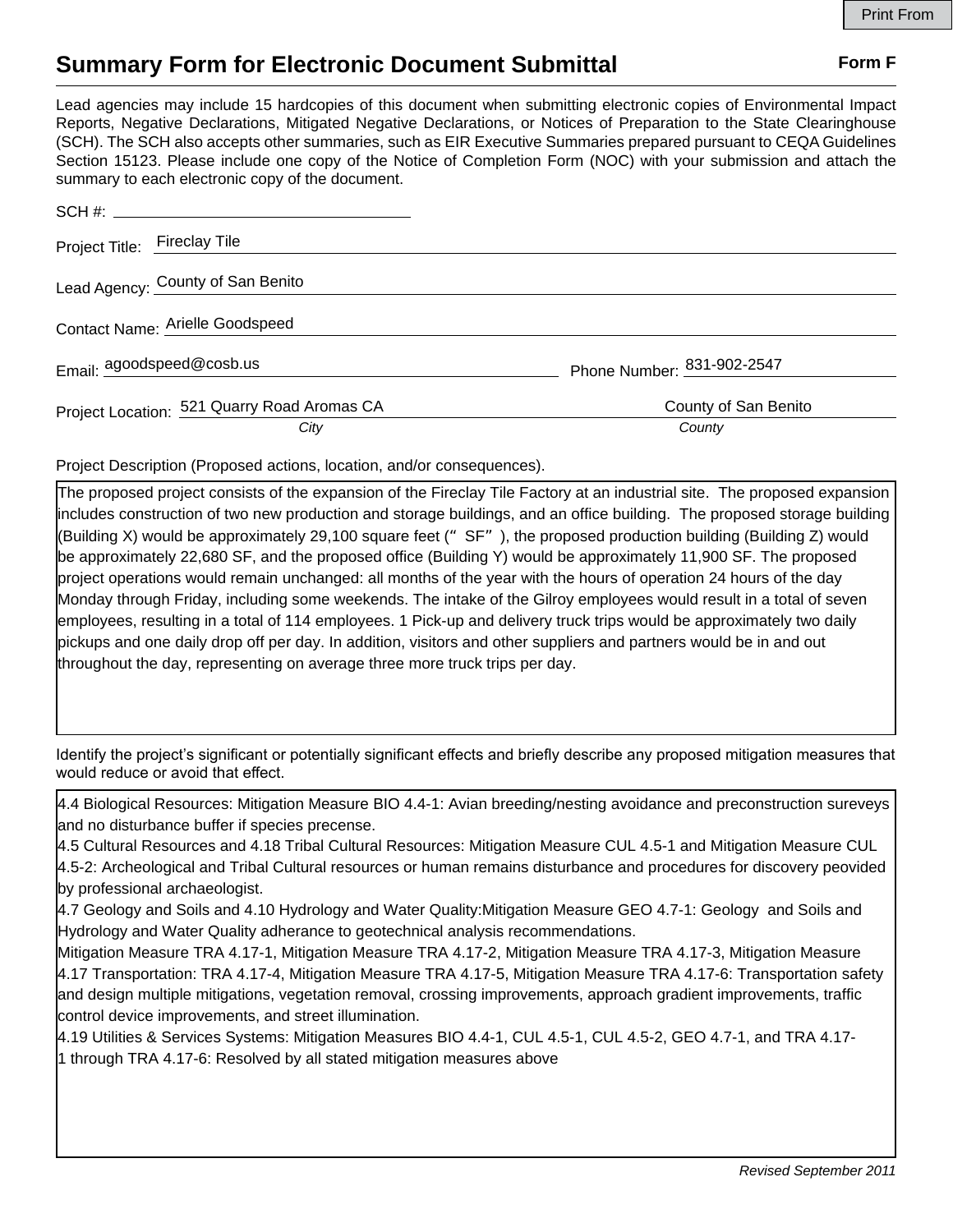## **Summary Form for Electronic Document Submittal Form F Form F**

Lead agencies may include 15 hardcopies of this document when submitting electronic copies of Environmental Impact Reports, Negative Declarations, Mitigated Negative Declarations, or Notices of Preparation to the State Clearinghouse (SCH). The SCH also accepts other summaries, such as EIR Executive Summaries prepared pursuant to CEQA Guidelines Section 15123. Please include one copy of the Notice of Completion Form (NOC) with your submission and attach the summary to each electronic copy of the document.

| Project Title: Fireclay Tile                |                            |
|---------------------------------------------|----------------------------|
| Lead Agency: County of San Benito           |                            |
| Contact Name: Arielle Goodspeed             |                            |
| Email: agoodspeed@cosb.us                   | Phone Number: 831-902-2547 |
| Project Location: 521 Quarry Road Aromas CA | County of San Benito       |
| City                                        | County                     |

Project Description (Proposed actions, location, and/or consequences).

The proposed project consists of the expansion of the Fireclay Tile Factory at an industrial site. The proposed expansion includes construction of two new production and storage buildings, and an office building. The proposed storage building (Building X) would be approximately 29,100 square feet ( $\degree$  SF $\degree$ ), the proposed production building (Building Z) would be approximately 22,680 SF, and the proposed office (Building Y) would be approximately 11,900 SF. The proposed project operations would remain unchanged: all months of the year with the hours of operation 24 hours of the day Monday through Friday, including some weekends. The intake of the Gilroy employees would result in a total of seven employees, resulting in a total of 114 employees. 1 Pick-up and delivery truck trips would be approximately two daily pickups and one daily drop off per day. In addition, visitors and other suppliers and partners would be in and out throughout the day, representing on average three more truck trips per day.

Identify the project's significant or potentially significant effects and briefly describe any proposed mitigation measures that would reduce or avoid that effect.

4.4 Biological Resources: Mitigation Measure BIO 4.4-1: Avian breeding/nesting avoidance and preconstruction sureveys and no disturbance buffer if species precense.

4.5 Cultural Resources and 4.18 Tribal Cultural Resources: Mitigation Measure CUL 4.5-1 and Mitigation Measure CUL 4.5-2: Archeological and Tribal Cultural resources or human remains disturbance and procedures for discovery peovided by professional archaeologist.

4.7 Geology and Soils and 4.10 Hydrology and Water Quality:Mitigation Measure GEO 4.7-1: Geology and Soils and Hydrology and Water Quality adherance to geotechnical analysis recommendations.

Mitigation Measure TRA 4.17-1, Mitigation Measure TRA 4.17-2, Mitigation Measure TRA 4.17-3, Mitigation Measure 4.17 Transportation: TRA 4.17-4, Mitigation Measure TRA 4.17-5, Mitigation Measure TRA 4.17-6: Transportation safety and design multiple mitigations, vegetation removal, crossing improvements, approach gradient improvements, traffic control device improvements, and street illumination.

4.19 Utilities & Services Systems: Mitigation Measures BIO 4.4-1, CUL 4.5-1, CUL 4.5-2, GEO 4.7-1, and TRA 4.17- 1 through TRA 4.17-6: Resolved by all stated mitigation measures above